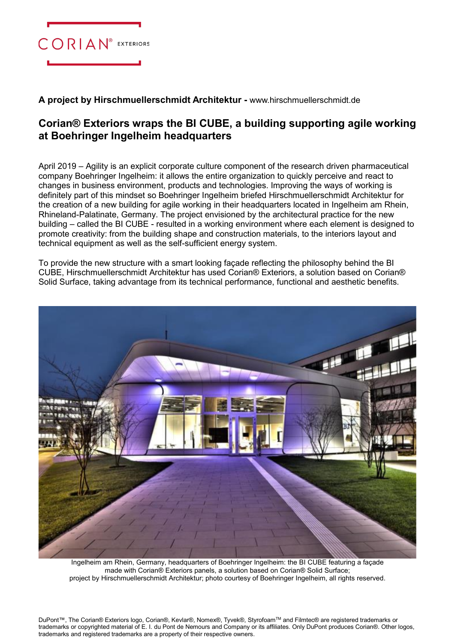

**A project by Hirschmuellerschmidt Architektur -** [www.hirschmuellerschmidt.de](http://www.hirschmuellerschmidt.de/)

## **Corian® Exteriors wraps the BI CUBE, a building supporting agile working at Boehringer Ingelheim headquarters**

April 2019 – Agility is an explicit corporate culture component of the research driven pharmaceutical company Boehringer Ingelheim: it allows the entire organization to quickly perceive and react to changes in business environment, products and technologies. Improving the ways of working is definitely part of this mindset so Boehringer Ingelheim briefed Hirschmuellerschmidt Architektur for the creation of a new building for agile working in their headquarters located in Ingelheim am Rhein, Rhineland-Palatinate, Germany. The project envisioned by the architectural practice for the new building – called the BI CUBE - resulted in a working environment where each element is designed to promote creativity: from the building shape and construction materials, to the interiors layout and technical equipment as well as the self-sufficient energy system.

To provide the new structure with a smart looking façade reflecting the philosophy behind the BI CUBE, Hirschmuellerschmidt Architektur has used Corian® Exteriors, a solution based on Corian® Solid Surface, taking advantage from its technical performance, functional and aesthetic benefits.



Ingelheim am Rhein, Germany, headquarters of Boehringer Ingelheim: the BI CUBE featuring a façade made with Corian® Exteriors panels, a solution based on Corian® Solid Surface; project by Hirschmuellerschmidt Architektur; photo courtesy of Boehringer Ingelheim, all rights reserved.

DuPont™, The Corian® Exteriors logo, Corian®, Kevlar®, Nomex®, Tyvek®, StyrofoamTM and Filmtec® are registered trademarks or trademarks or copyrighted material of E. I. du Pont de Nemours and Company or its affiliates. Only DuPont produces Corian®. Other logos, trademarks and registered trademarks are a property of their respective owners.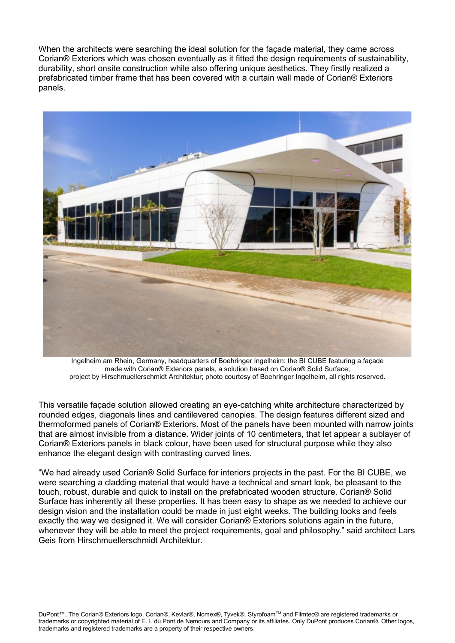When the architects were searching the ideal solution for the façade material, they came across Corian® Exteriors which was chosen eventually as it fitted the design requirements of sustainability, durability, short onsite construction while also offering unique aesthetics. They firstly realized a prefabricated timber frame that has been covered with a curtain wall made of Corian® Exteriors panels.



Ingelheim am Rhein, Germany, headquarters of Boehringer Ingelheim: the BI CUBE featuring a façade made with Corian® Exteriors panels, a solution based on Corian® Solid Surface; project by Hirschmuellerschmidt Architektur; photo courtesy of Boehringer Ingelheim, all rights reserved.

This versatile façade solution allowed creating an eye-catching white architecture characterized by rounded edges, diagonals lines and cantilevered canopies. The design features different sized and thermoformed panels of Corian® Exteriors. Most of the panels have been mounted with narrow joints that are almost invisible from a distance. Wider joints of 10 centimeters, that let appear a sublayer of Corian® Exteriors panels in black colour, have been used for structural purpose while they also enhance the elegant design with contrasting curved lines.

"We had already used Corian® Solid Surface for interiors projects in the past. For the BI CUBE, we were searching a cladding material that would have a technical and smart look, be pleasant to the touch, robust, durable and quick to install on the prefabricated wooden structure. Corian® Solid Surface has inherently all these properties. It has been easy to shape as we needed to achieve our design vision and the installation could be made in just eight weeks. The building looks and feels exactly the way we designed it. We will consider Corian® Exteriors solutions again in the future, whenever they will be able to meet the project requirements, goal and philosophy." said architect Lars Geis from Hirschmuellerschmidt Architektur.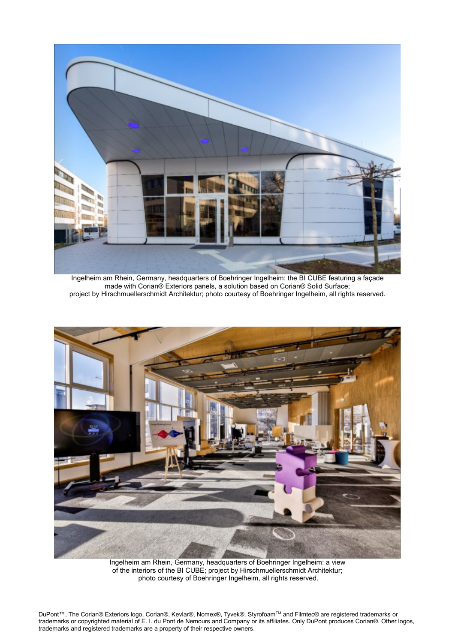

Ingelheim am Rhein, Germany, headquarters of Boehringer Ingelheim: the BI CUBE featuring a façade made with Corian® Exteriors panels, a solution based on Corian® Solid Surface; project by Hirschmuellerschmidt Architektur; photo courtesy of Boehringer Ingelheim, all rights reserved.



Ingelheim am Rhein, Germany, headquarters of Boehringer Ingelheim: a view of the interiors of the BI CUBE; project by Hirschmuellerschmidt Architektur; photo courtesy of Boehringer Ingelheim, all rights reserved.

DuPont™, The Corian® Exteriors logo, Corian®, Kevlar®, Nomex®, Tyvek®, StyrofoamTM and Filmtec® are registered trademarks or trademarks or copyrighted material of E. I. du Pont de Nemours and Company or its affiliates. Only DuPont produces Corian®. Other logos, trademarks and registered trademarks are a property of their respective owners.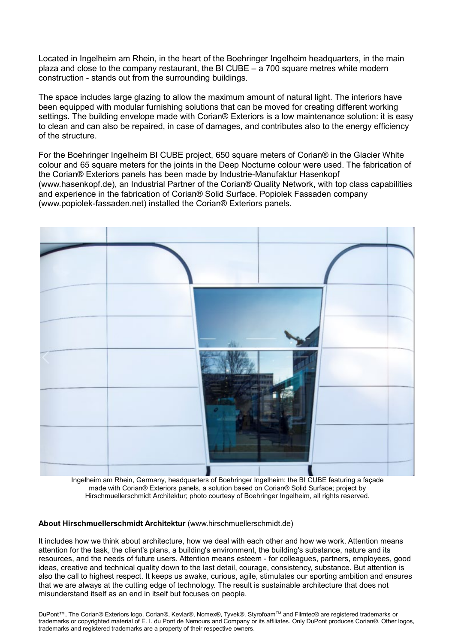Located in Ingelheim am Rhein, in the heart of the Boehringer Ingelheim headquarters, in the main plaza and close to the company restaurant, the BI CUBE  $-$  a 700 square metres white modern construction - stands out from the surrounding buildings.

The space includes large glazing to allow the maximum amount of natural light. The interiors have been equipped with modular furnishing solutions that can be moved for creating different working settings. The building envelope made with Corian<sup>®</sup> Exteriors is a low maintenance solution: it is easy to clean and can also be repaired, in case of damages, and contributes also to the energy efficiency of the structure.

For the Boehringer Ingelheim BI CUBE project, 650 square meters of Corian® in the Glacier White colour and 65 square meters for the joints in the Deep Nocturne colour were used. The fabrication of the Corian® Exteriors panels has been made by Industrie-Manufaktur Hasenkopf (www.hasenkopf.de), an Industrial Partner of the Corian® Quality Network, with top class capabilities and experience in the fabrication of Corian® Solid Surface. Popiolek Fassaden company [\(www.popiolek-fassaden.net\)](http://www.popiolek-fassaden.net/) installed the Corian® Exteriors panels.



Ingelheim am Rhein, Germany, headquarters of Boehringer Ingelheim: the BI CUBE featuring a façade made with Corian® Exteriors panels, a solution based on Corian® Solid Surface; project by Hirschmuellerschmidt Architektur; photo courtesy of Boehringer Ingelheim, all rights reserved.

**About Hirschmuellerschmidt Architektur** [\(www.hirschmuellerschmidt.de\)](http://www.hirschmuellerschmidt.de/)

It includes how we think about architecture, how we deal with each other and how we work. Attention means attention for the task, the client's plans, a building's environment, the building's substance, nature and its resources, and the needs of future users. Attention means esteem - for colleagues, partners, employees, good ideas, creative and technical quality down to the last detail, courage, consistency, substance. But attention is also the call to highest respect. It keeps us awake, curious, agile, stimulates our sporting ambition and ensures that we are always at the cutting edge of technology. The result is sustainable architecture that does not misunderstand itself as an end in itself but focuses on people.

DuPont™, The Corian® Exteriors logo, Corian®, Kevlar®, Nomex®, Tyvek®, StyrofoamTM and Filmtec® are registered trademarks or trademarks or copyrighted material of E. I. du Pont de Nemours and Company or its affiliates. Only DuPont produces Corian®. Other logos, trademarks and registered trademarks are a property of their respective owners.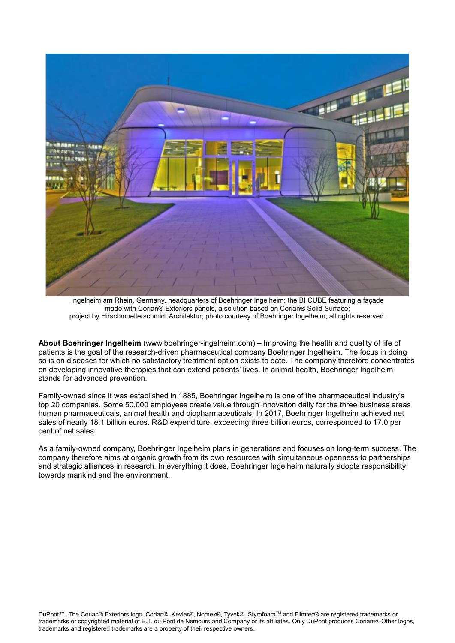

Ingelheim am Rhein, Germany, headquarters of Boehringer Ingelheim: the BI CUBE featuring a façade made with Corian® Exteriors panels, a solution based on Corian® Solid Surface; project by Hirschmuellerschmidt Architektur; photo courtesy of Boehringer Ingelheim, all rights reserved.

**About Boehringer Ingelheim** [\(www.boehringer-ingelheim.com\)](http://www.boehringer-ingelheim.com/) – Improving the health and quality of life of patients is the goal of the research-driven pharmaceutical company Boehringer Ingelheim. The focus in doing so is on diseases for which no satisfactory treatment option exists to date. The company therefore concentrates on developing innovative therapies that can extend patients' lives. In animal health, Boehringer Ingelheim stands for advanced prevention.

Family-owned since it was established in 1885, Boehringer Ingelheim is one of the pharmaceutical industry's top 20 companies. Some 50,000 employees create value through innovation daily for the three business areas human pharmaceuticals, animal health and biopharmaceuticals. In 2017, Boehringer Ingelheim achieved net sales of nearly 18.1 billion euros. R&D expenditure, exceeding three billion euros, corresponded to 17.0 per cent of net sales.

As a family-owned company, Boehringer Ingelheim plans in generations and focuses on long-term success. The company therefore aims at organic growth from its own resources with simultaneous openness to partnerships and strategic alliances in research. In everything it does, Boehringer Ingelheim naturally adopts responsibility towards mankind and the environment.